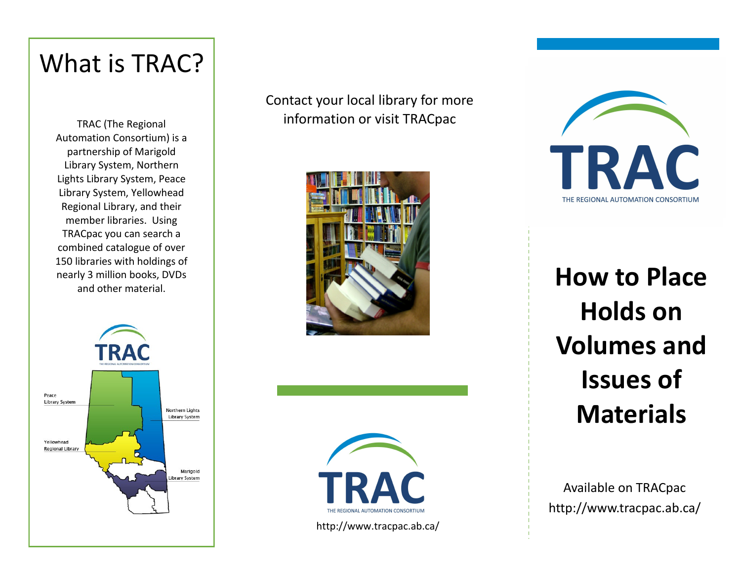## What is TRAC?

TRAC (The Regional Automation Consortium) is a partnership of Marigold Library System, Northern Lights Library System, Peace Library System, Yellowhead Regional Library, and their member libraries. Using TRACpac you can search a combined catalogue of over 150 libraries with holdings of nearly 3 million books, DVDs and other material.



Contact your local library for more information or visit TRACpac







**How to Place Holds on Volumes and Issues of Materials**

Available on TRACpac http://www.tracpac.ab.ca/